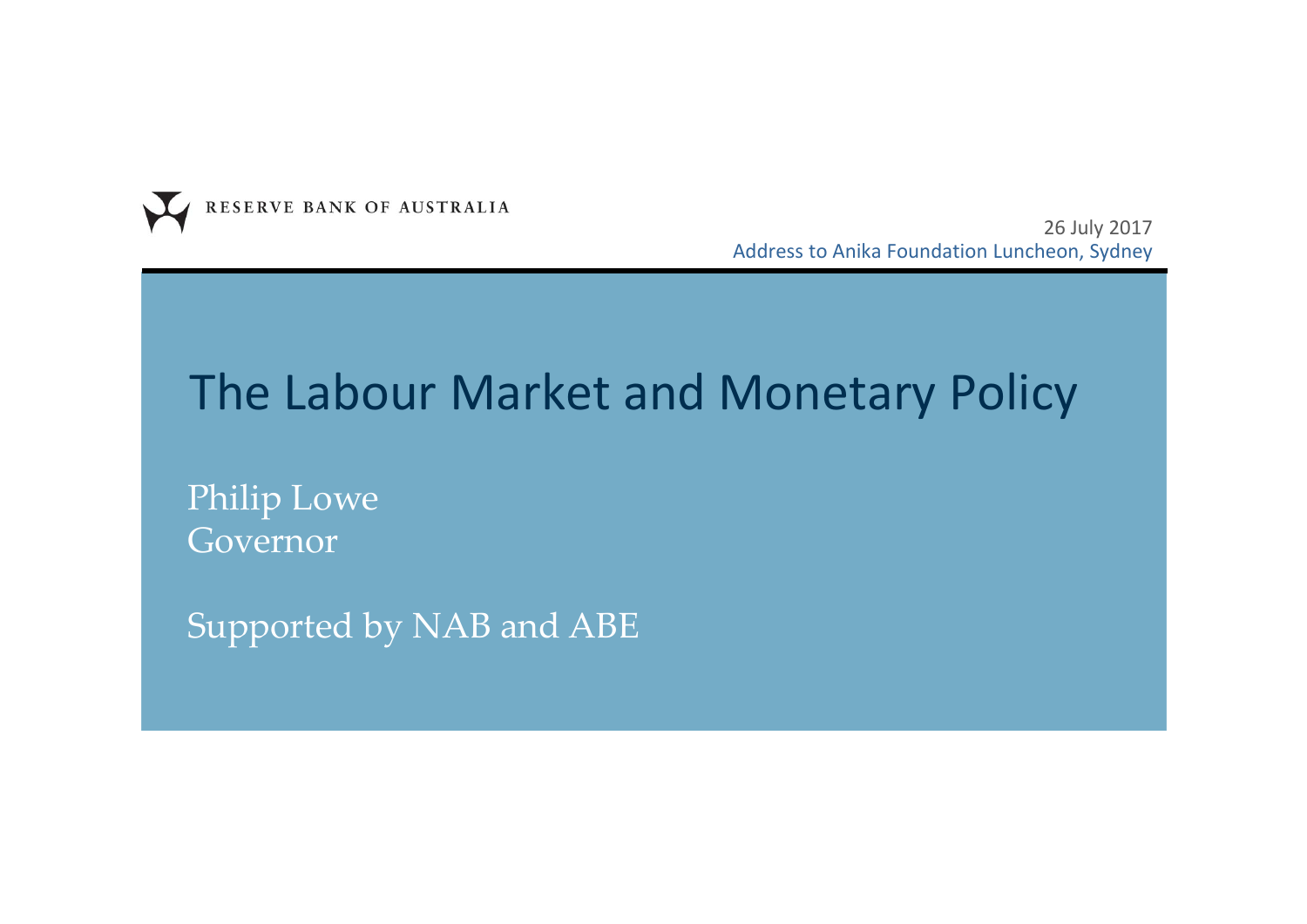

26 July 2017 Address to Anika Foundation Luncheon, Sydney

## The Labour Market and Monetary Policy

Philip Lowe Governor

Supported by NAB and ABE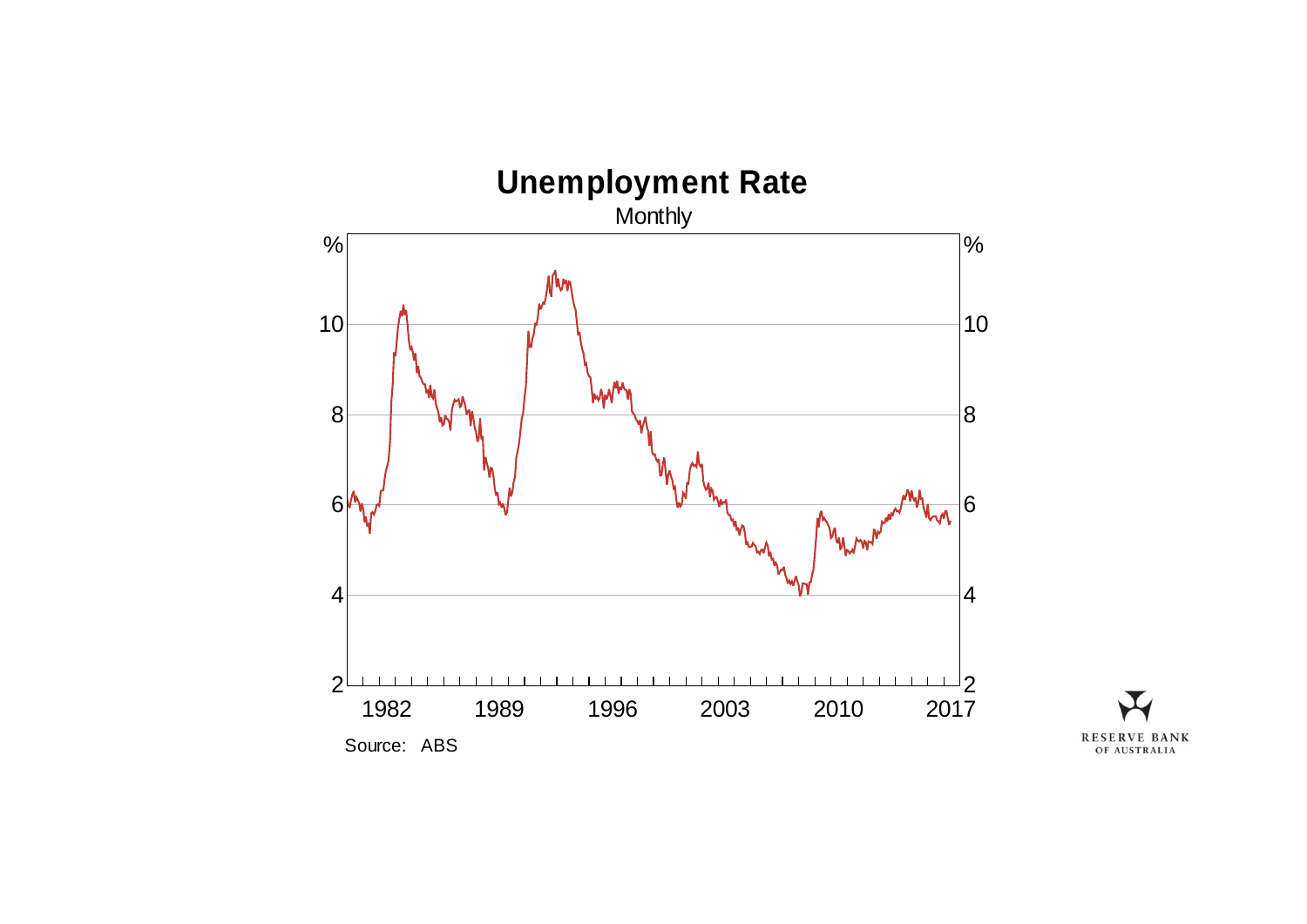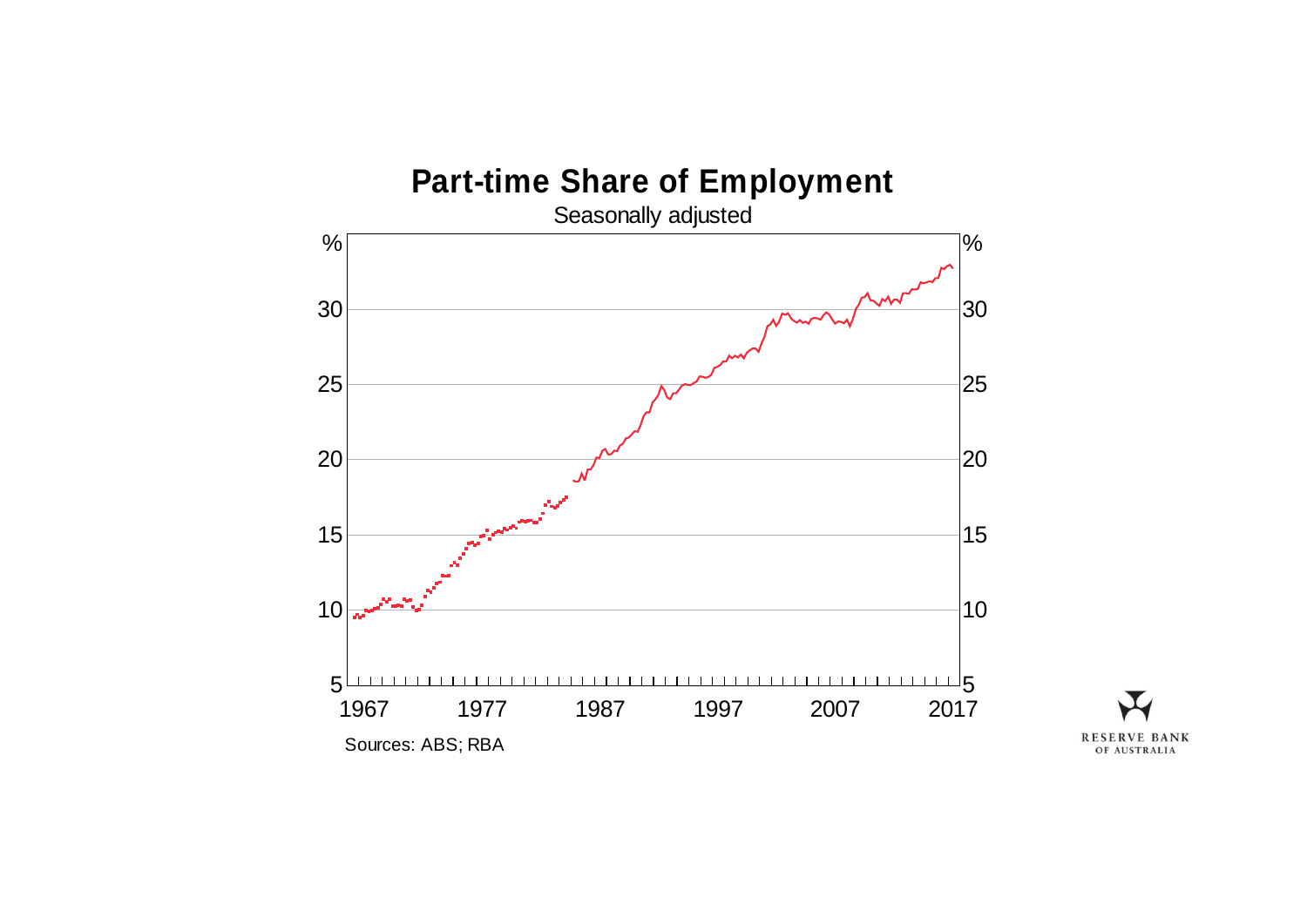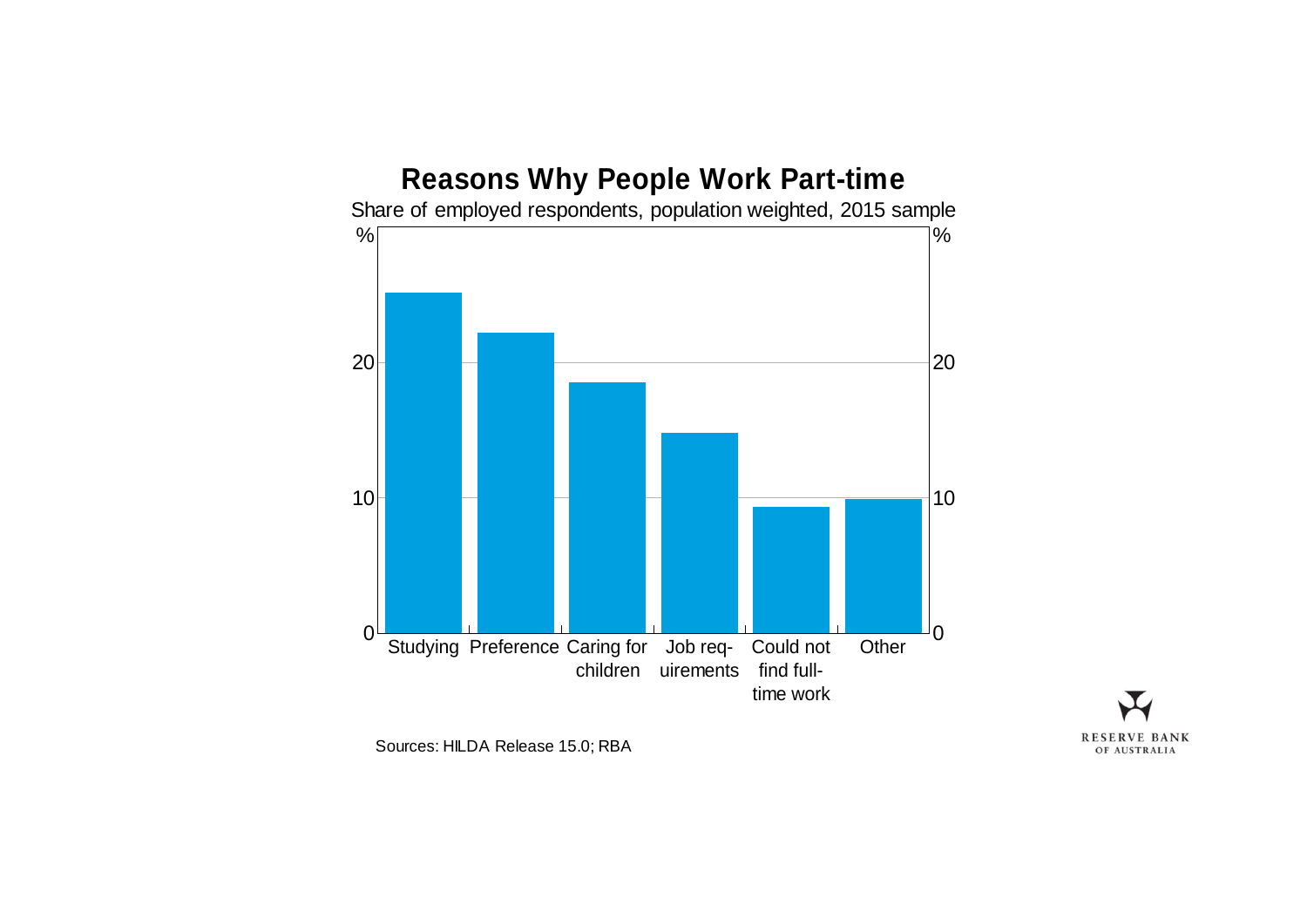



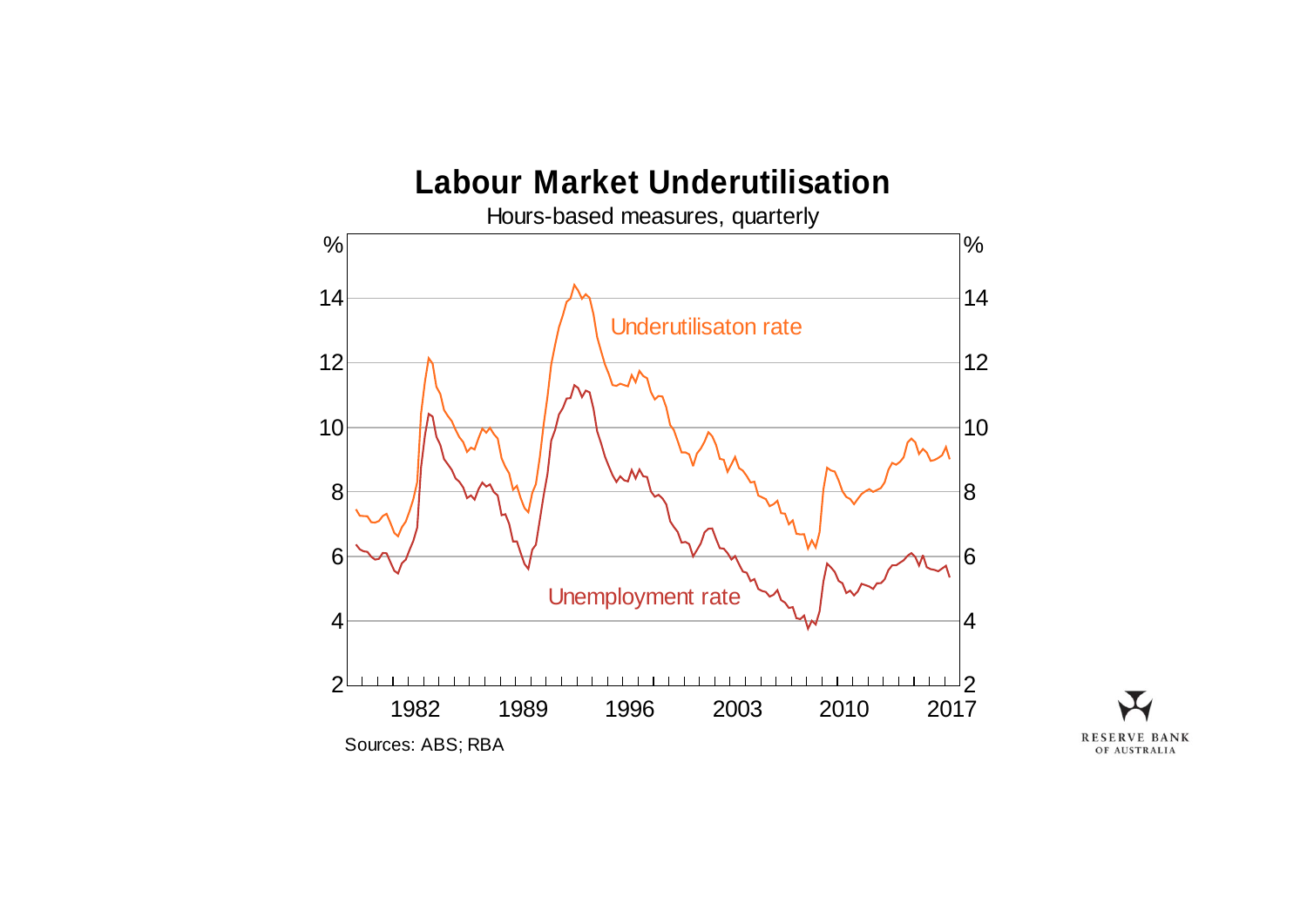

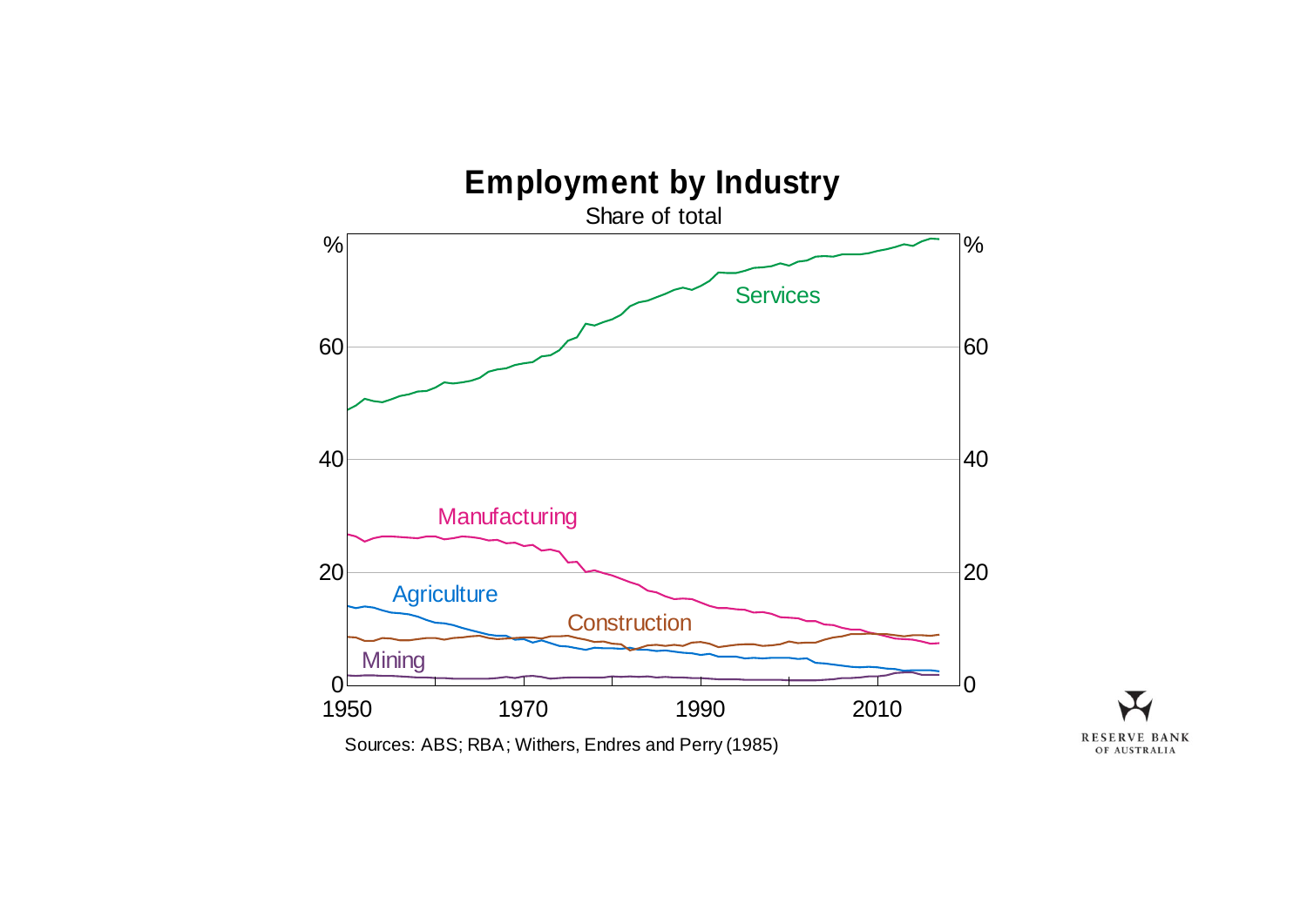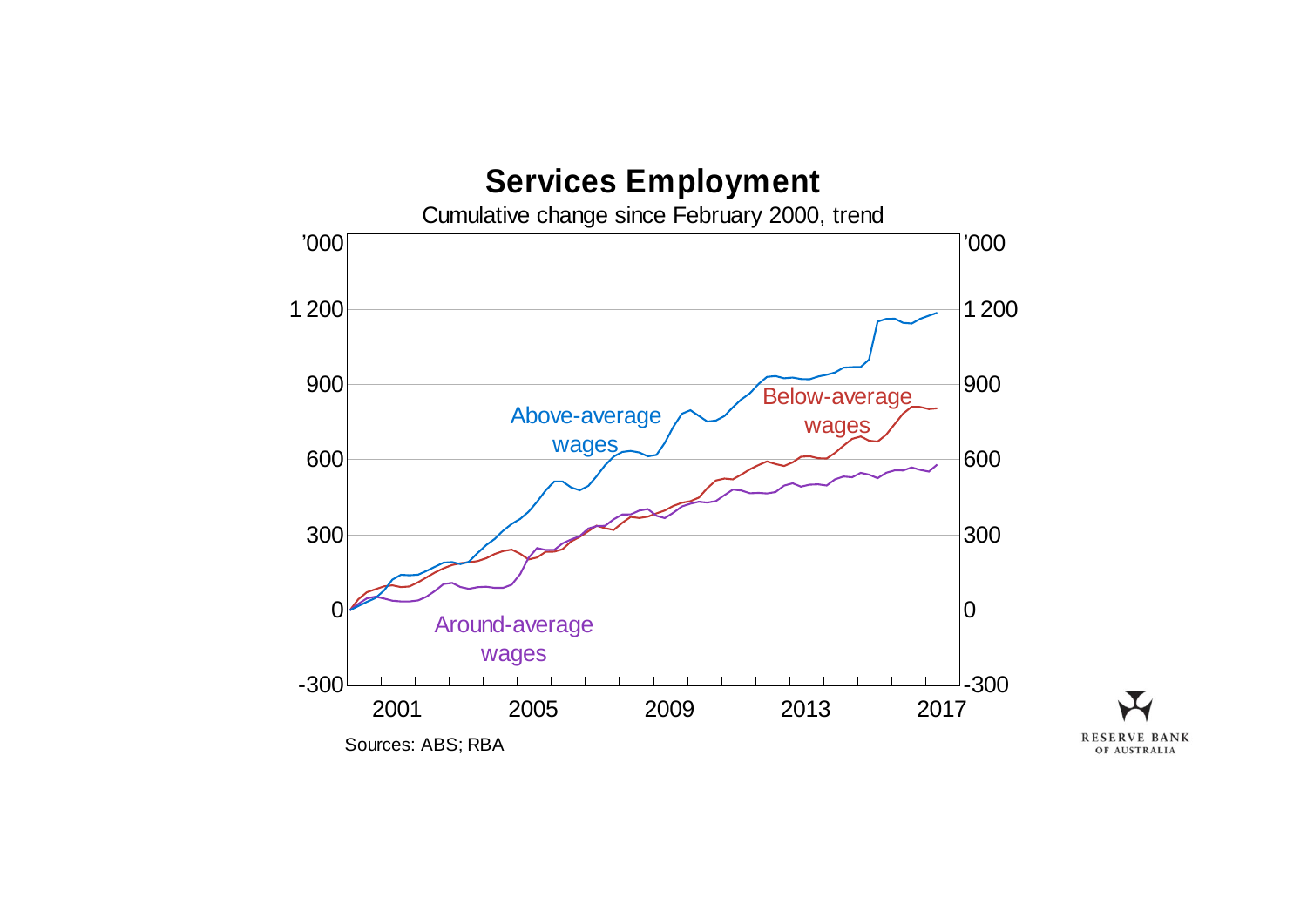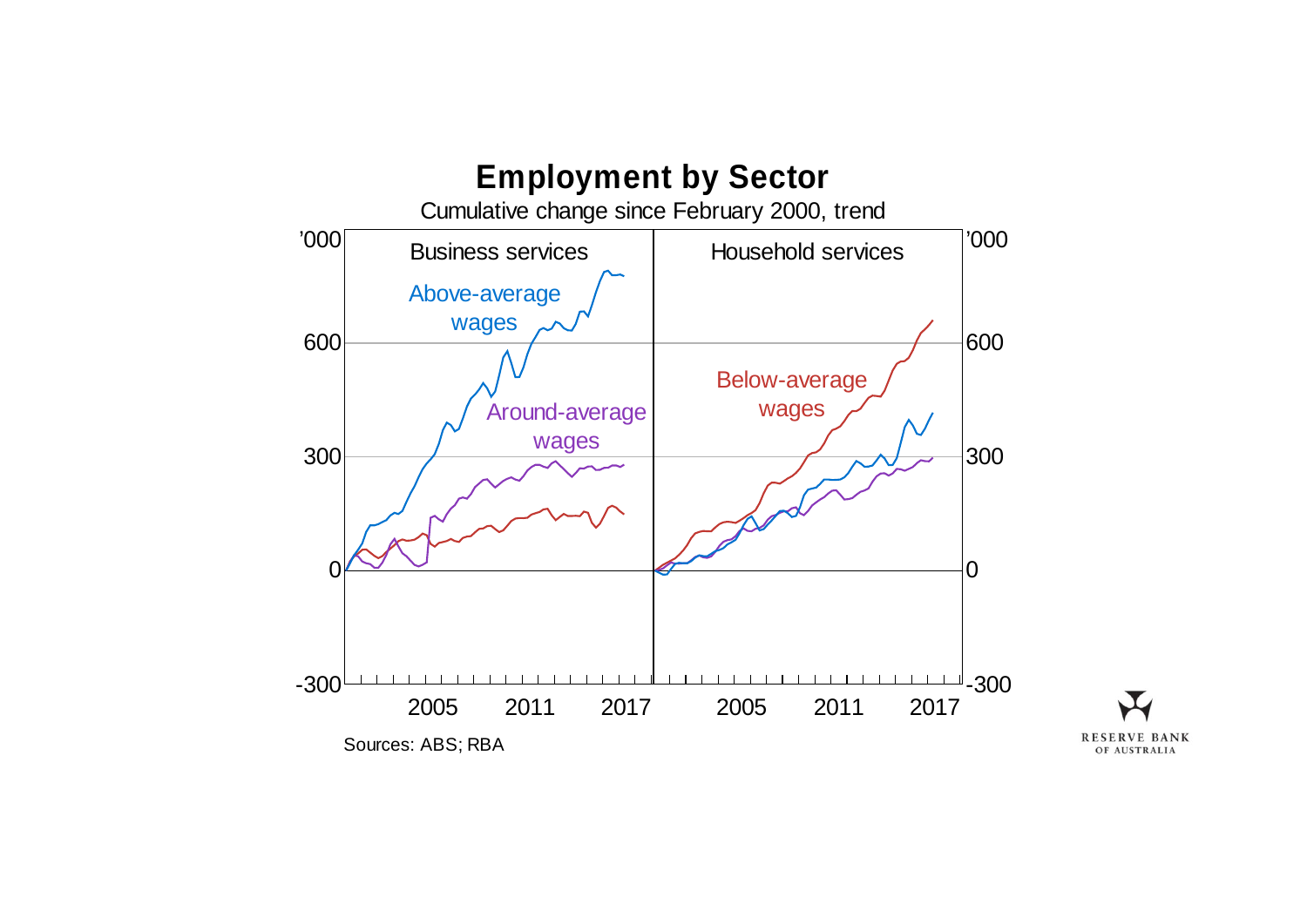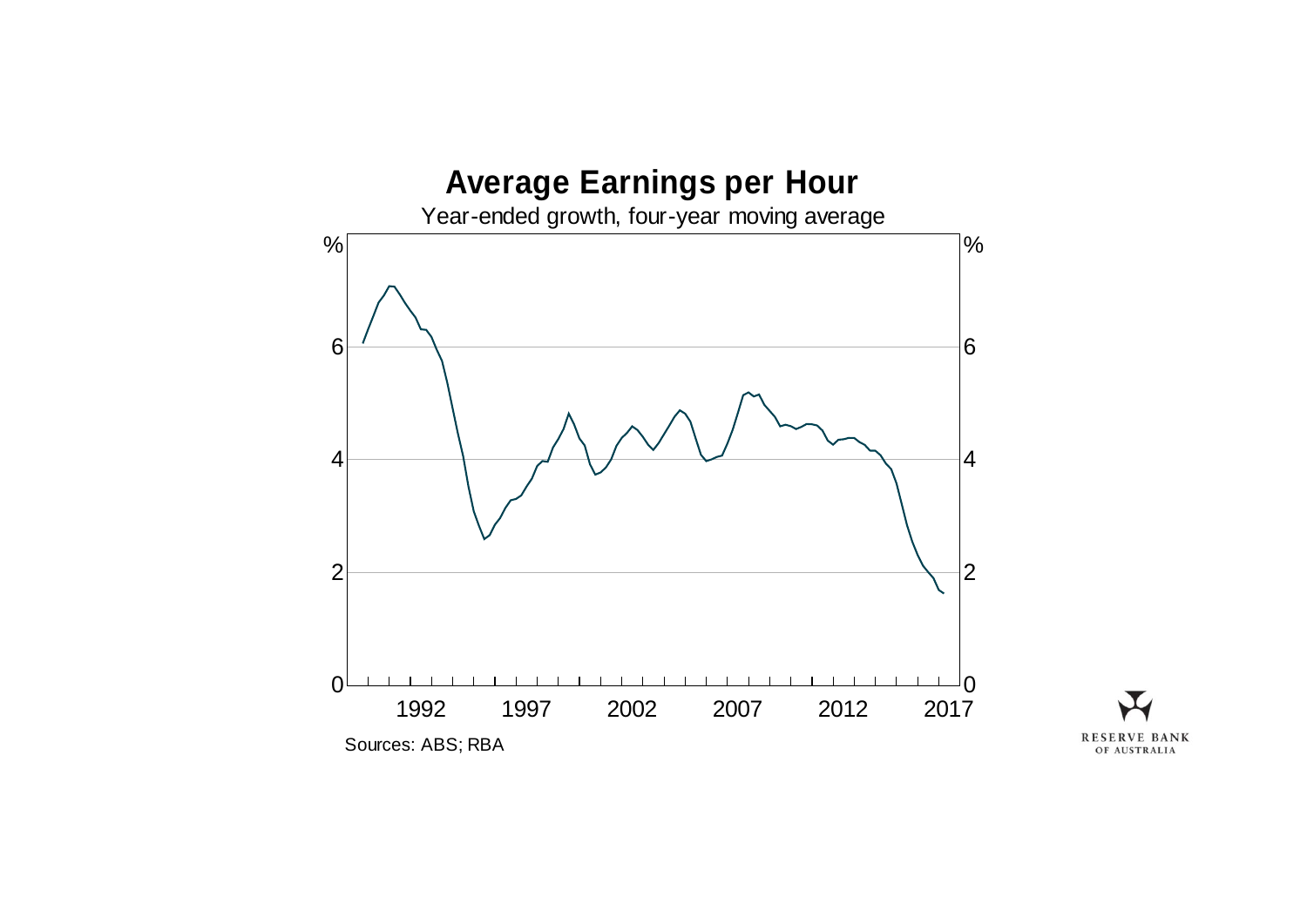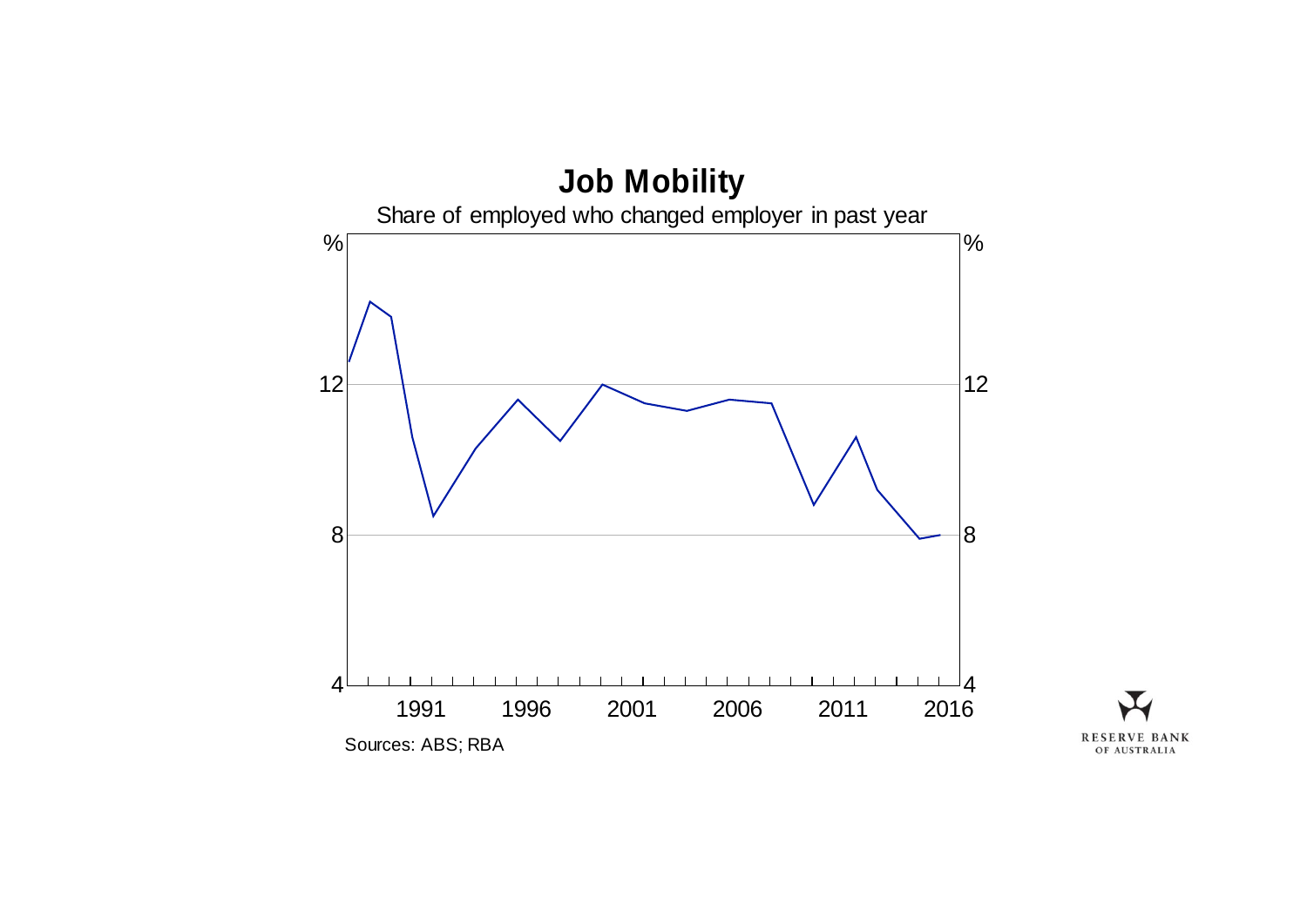